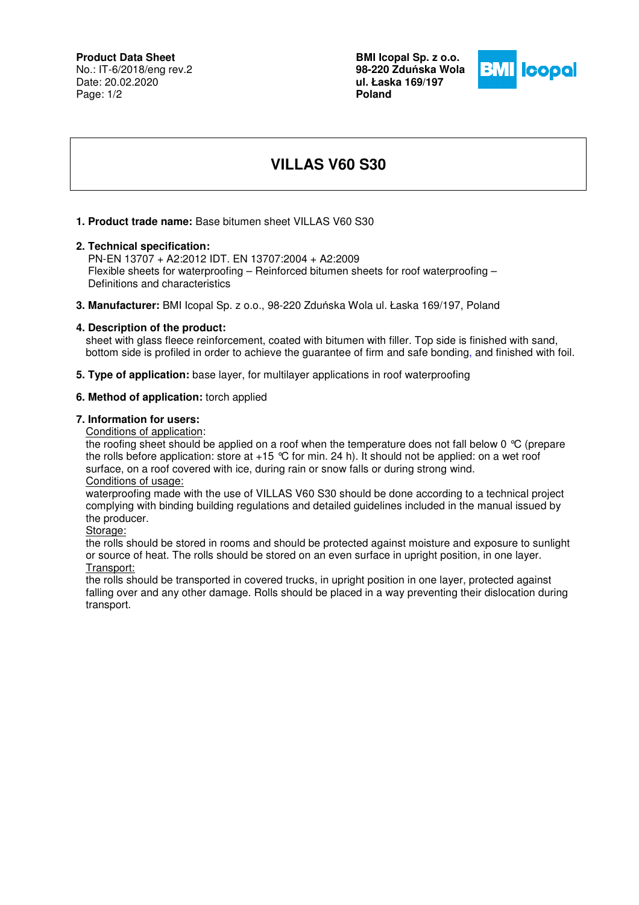# **Product Data Sheet**

No.: IT-6/2018/eng rev.2 Date: 20.02.2020 Page: 1/2

**BMI Icopal Sp. z o.o. 98-220 Zdu**ń**ska Wola ul. Łaska 169/197 Poland** 



# **VILLAS V60 S30**

# **1. Product trade name:** Base bitumen sheet VILLAS V60 S30

#### **2. Technical specification:**

 PN-EN 13707 + A2:2012 IDT. EN 13707:2004 + A2:2009 Flexible sheets for waterproofing – Reinforced bitumen sheets for roof waterproofing – Definitions and characteristics

**3. Manufacturer:** BMI Icopal Sp. z o.o., 98-220 Zduńska Wola ul. Łaska 169/197, Poland

#### **4. Description of the product:**

sheet with glass fleece reinforcement, coated with bitumen with filler. Top side is finished with sand, bottom side is profiled in order to achieve the guarantee of firm and safe bonding, and finished with foil.

**5. Type of application:** base layer, for multilayer applications in roof waterproofing

### **6. Method of application:** torch applied

#### **7. Information for users:**

Conditions of application:

the roofing sheet should be applied on a roof when the temperature does not fall below 0 °C (prepare the rolls before application: store at  $+15$  °C for min. 24 h). It should not be applied: on a wet roof surface, on a roof covered with ice, during rain or snow falls or during strong wind. Conditions of usage:

waterproofing made with the use of VILLAS V60 S30 should be done according to a technical project complying with binding building regulations and detailed guidelines included in the manual issued by the producer.

Storage:

the rolls should be stored in rooms and should be protected against moisture and exposure to sunlight or source of heat. The rolls should be stored on an even surface in upright position, in one layer. Transport:

the rolls should be transported in covered trucks, in upright position in one layer, protected against falling over and any other damage. Rolls should be placed in a way preventing their dislocation during transport.